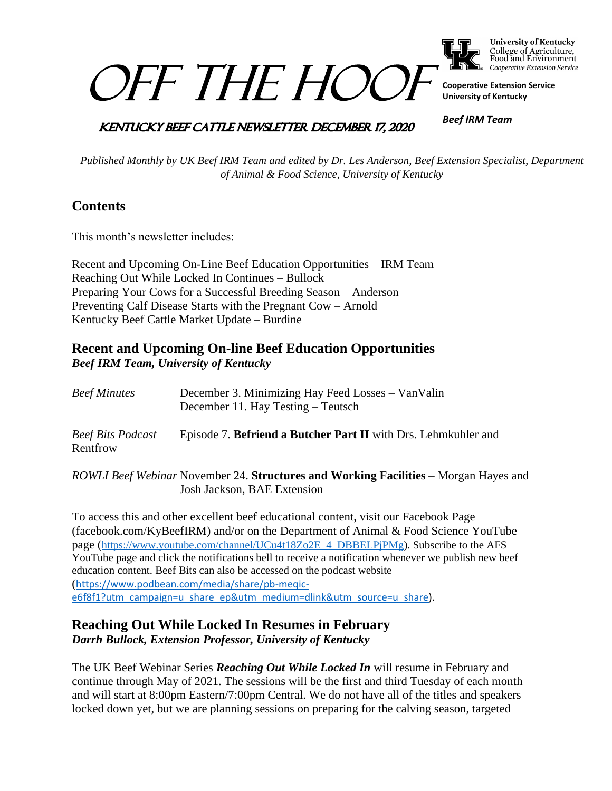

**University of Kentucky** College of Agriculture,<br>Food and Environment Cooperative Extension Service

**Cooperative Extension Service University of Kentucky**

## **KENTUCKY BEEF CATTLE NEWSLETTER DECEMBER 17, 2020**

*OFF THE HOC* 

*Beef IRM Team*

*Published Monthly by UK Beef IRM Team and edited by Dr. Les Anderson, Beef Extension Specialist, Department of Animal & Food Science, University of Kentucky*

# **Contents**

This month's newsletter includes:

Recent and Upcoming On-Line Beef Education Opportunities – IRM Team Reaching Out While Locked In Continues – Bullock Preparing Your Cows for a Successful Breeding Season – Anderson Preventing Calf Disease Starts with the Pregnant Cow – Arnold Kentucky Beef Cattle Market Update – Burdine

## **Recent and Upcoming On-line Beef Education Opportunities** *Beef IRM Team, University of Kentucky*

| <b>Beef Minutes</b>                  | December 3. Minimizing Hay Feed Losses – VanValin<br>December 11. Hay Testing – Teutsch |
|--------------------------------------|-----------------------------------------------------------------------------------------|
| <b>Beef Bits Podcast</b><br>Rentfrow | Episode 7. Befriend a Butcher Part II with Drs. Lehmkuhler and                          |
| $P\cap T$                            | $\mathbf{M}$ is a set of the set of $\mathbf{M}$ is the set of $\mathbf{M}$             |

*ROWLI Beef Webinar* November 24. **Structures and Working Facilities** – Morgan Hayes and Josh Jackson, BAE Extension

To access this and other excellent beef educational content, visit our Facebook Page (facebook.com/KyBeefIRM) and/or on the Department of Animal & Food Science YouTube page ([https://www.youtube.com/channel/UCu4t18Zo2E\\_4\\_DBBELPjPMg\)](https://www.youtube.com/channel/UCu4t18Zo2E_4_DBBELPjPMg). Subscribe to the AFS YouTube page and click the notifications bell to receive a notification whenever we publish new beef education content. Beef Bits can also be accessed on the podcast website ([https://www.podbean.com/media/share/pb-meqic](https://www.podbean.com/media/share/pb-meqic-e6f8f1?utm_campaign=u_share_ep&utm_medium=dlink&utm_source=u_share)[e6f8f1?utm\\_campaign=u\\_share\\_ep&utm\\_medium=dlink&utm\\_source=u\\_share\)](https://www.podbean.com/media/share/pb-meqic-e6f8f1?utm_campaign=u_share_ep&utm_medium=dlink&utm_source=u_share).

#### **Reaching Out While Locked In Resumes in February** *Darrh Bullock, Extension Professor, University of Kentucky*

The UK Beef Webinar Series *Reaching Out While Locked In* will resume in February and continue through May of 2021. The sessions will be the first and third Tuesday of each month and will start at 8:00pm Eastern/7:00pm Central. We do not have all of the titles and speakers locked down yet, but we are planning sessions on preparing for the calving season, targeted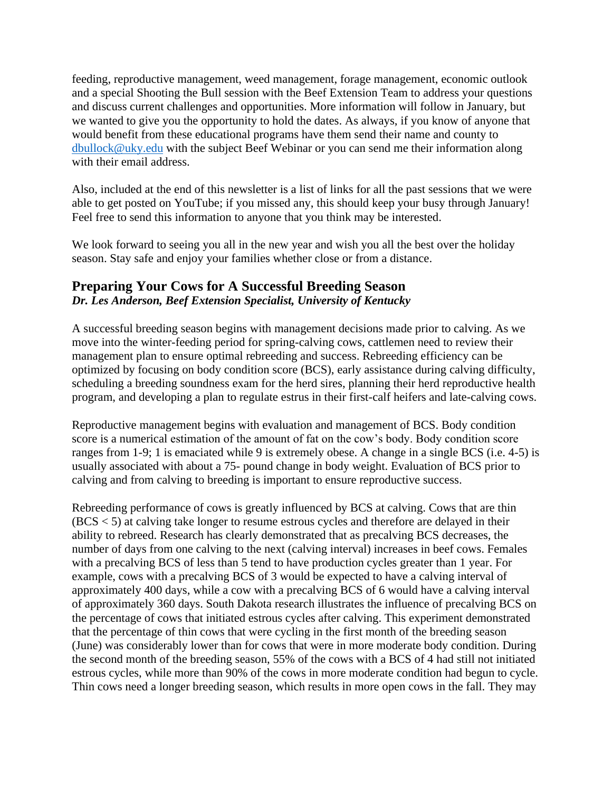feeding, reproductive management, weed management, forage management, economic outlook and a special Shooting the Bull session with the Beef Extension Team to address your questions and discuss current challenges and opportunities. More information will follow in January, but we wanted to give you the opportunity to hold the dates. As always, if you know of anyone that would benefit from these educational programs have them send their name and county to [dbullock@uky.edu](mailto:dbullock@uky.edu) with the subject Beef Webinar or you can send me their information along with their email address.

Also, included at the end of this newsletter is a list of links for all the past sessions that we were able to get posted on YouTube; if you missed any, this should keep your busy through January! Feel free to send this information to anyone that you think may be interested.

We look forward to seeing you all in the new year and wish you all the best over the holiday season. Stay safe and enjoy your families whether close or from a distance.

## **Preparing Your Cows for A Successful Breeding Season** *Dr. Les Anderson, Beef Extension Specialist, University of Kentucky*

A successful breeding season begins with management decisions made prior to calving. As we move into the winter-feeding period for spring-calving cows, cattlemen need to review their management plan to ensure optimal rebreeding and success. Rebreeding efficiency can be optimized by focusing on body condition score (BCS), early assistance during calving difficulty, scheduling a breeding soundness exam for the herd sires, planning their herd reproductive health program, and developing a plan to regulate estrus in their first-calf heifers and late-calving cows.

Reproductive management begins with evaluation and management of BCS. Body condition score is a numerical estimation of the amount of fat on the cow's body. Body condition score ranges from 1-9; 1 is emaciated while 9 is extremely obese. A change in a single BCS (i.e. 4-5) is usually associated with about a 75- pound change in body weight. Evaluation of BCS prior to calving and from calving to breeding is important to ensure reproductive success.

Rebreeding performance of cows is greatly influenced by BCS at calving. Cows that are thin (BCS < 5) at calving take longer to resume estrous cycles and therefore are delayed in their ability to rebreed. Research has clearly demonstrated that as precalving BCS decreases, the number of days from one calving to the next (calving interval) increases in beef cows. Females with a precalving BCS of less than 5 tend to have production cycles greater than 1 year. For example, cows with a precalving BCS of 3 would be expected to have a calving interval of approximately 400 days, while a cow with a precalving BCS of 6 would have a calving interval of approximately 360 days. South Dakota research illustrates the influence of precalving BCS on the percentage of cows that initiated estrous cycles after calving. This experiment demonstrated that the percentage of thin cows that were cycling in the first month of the breeding season (June) was considerably lower than for cows that were in more moderate body condition. During the second month of the breeding season, 55% of the cows with a BCS of 4 had still not initiated estrous cycles, while more than 90% of the cows in more moderate condition had begun to cycle. Thin cows need a longer breeding season, which results in more open cows in the fall. They may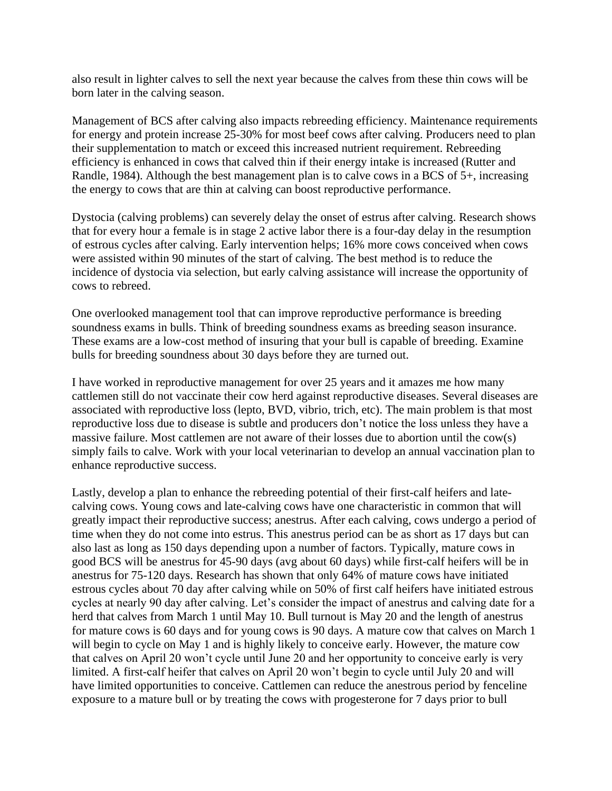also result in lighter calves to sell the next year because the calves from these thin cows will be born later in the calving season.

Management of BCS after calving also impacts rebreeding efficiency. Maintenance requirements for energy and protein increase 25-30% for most beef cows after calving. Producers need to plan their supplementation to match or exceed this increased nutrient requirement. Rebreeding efficiency is enhanced in cows that calved thin if their energy intake is increased (Rutter and Randle, 1984). Although the best management plan is to calve cows in a BCS of 5+, increasing the energy to cows that are thin at calving can boost reproductive performance.

Dystocia (calving problems) can severely delay the onset of estrus after calving. Research shows that for every hour a female is in stage 2 active labor there is a four-day delay in the resumption of estrous cycles after calving. Early intervention helps; 16% more cows conceived when cows were assisted within 90 minutes of the start of calving. The best method is to reduce the incidence of dystocia via selection, but early calving assistance will increase the opportunity of cows to rebreed.

One overlooked management tool that can improve reproductive performance is breeding soundness exams in bulls. Think of breeding soundness exams as breeding season insurance. These exams are a low-cost method of insuring that your bull is capable of breeding. Examine bulls for breeding soundness about 30 days before they are turned out.

I have worked in reproductive management for over 25 years and it amazes me how many cattlemen still do not vaccinate their cow herd against reproductive diseases. Several diseases are associated with reproductive loss (lepto, BVD, vibrio, trich, etc). The main problem is that most reproductive loss due to disease is subtle and producers don't notice the loss unless they have a massive failure. Most cattlemen are not aware of their losses due to abortion until the cow(s) simply fails to calve. Work with your local veterinarian to develop an annual vaccination plan to enhance reproductive success.

Lastly, develop a plan to enhance the rebreeding potential of their first-calf heifers and latecalving cows. Young cows and late-calving cows have one characteristic in common that will greatly impact their reproductive success; anestrus. After each calving, cows undergo a period of time when they do not come into estrus. This anestrus period can be as short as 17 days but can also last as long as 150 days depending upon a number of factors. Typically, mature cows in good BCS will be anestrus for 45-90 days (avg about 60 days) while first-calf heifers will be in anestrus for 75-120 days. Research has shown that only 64% of mature cows have initiated estrous cycles about 70 day after calving while on 50% of first calf heifers have initiated estrous cycles at nearly 90 day after calving. Let's consider the impact of anestrus and calving date for a herd that calves from March 1 until May 10. Bull turnout is May 20 and the length of anestrus for mature cows is 60 days and for young cows is 90 days. A mature cow that calves on March 1 will begin to cycle on May 1 and is highly likely to conceive early. However, the mature cow that calves on April 20 won't cycle until June 20 and her opportunity to conceive early is very limited. A first-calf heifer that calves on April 20 won't begin to cycle until July 20 and will have limited opportunities to conceive. Cattlemen can reduce the anestrous period by fenceline exposure to a mature bull or by treating the cows with progesterone for 7 days prior to bull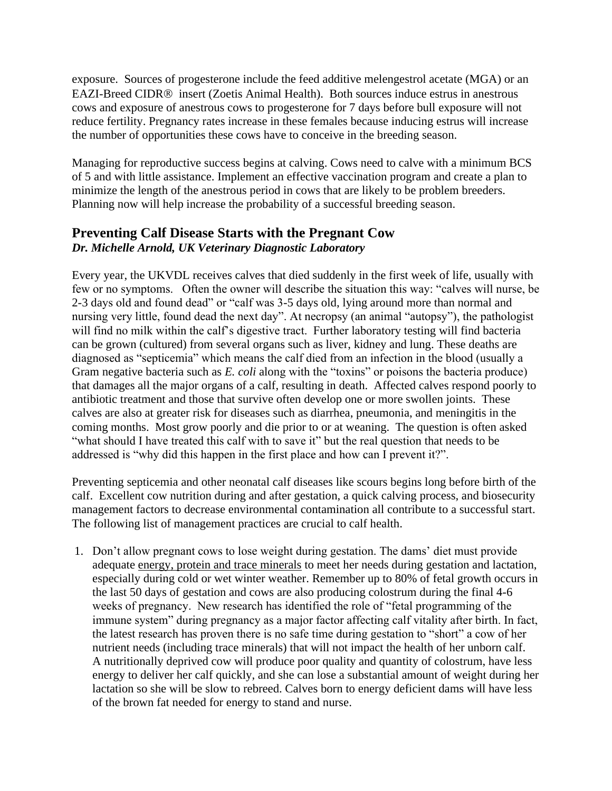exposure. Sources of progesterone include the feed additive melengestrol acetate (MGA) or an EAZI-Breed CIDR<sup>®</sup> insert (Zoetis Animal Health). Both sources induce estrus in anestrous cows and exposure of anestrous cows to progesterone for 7 days before bull exposure will not reduce fertility. Pregnancy rates increase in these females because inducing estrus will increase the number of opportunities these cows have to conceive in the breeding season.

Managing for reproductive success begins at calving. Cows need to calve with a minimum BCS of 5 and with little assistance. Implement an effective vaccination program and create a plan to minimize the length of the anestrous period in cows that are likely to be problem breeders. Planning now will help increase the probability of a successful breeding season.

## **Preventing Calf Disease Starts with the Pregnant Cow** *Dr. Michelle Arnold, UK Veterinary Diagnostic Laboratory*

Every year, the UKVDL receives calves that died suddenly in the first week of life, usually with few or no symptoms. Often the owner will describe the situation this way: "calves will nurse, be 2-3 days old and found dead" or "calf was 3-5 days old, lying around more than normal and nursing very little, found dead the next day". At necropsy (an animal "autopsy"), the pathologist will find no milk within the calf's digestive tract. Further laboratory testing will find bacteria can be grown (cultured) from several organs such as liver, kidney and lung. These deaths are diagnosed as "septicemia" which means the calf died from an infection in the blood (usually a Gram negative bacteria such as *E. coli* along with the "toxins" or poisons the bacteria produce) that damages all the major organs of a calf, resulting in death. Affected calves respond poorly to antibiotic treatment and those that survive often develop one or more swollen joints. These calves are also at greater risk for diseases such as diarrhea, pneumonia, and meningitis in the coming months. Most grow poorly and die prior to or at weaning. The question is often asked "what should I have treated this calf with to save it" but the real question that needs to be addressed is "why did this happen in the first place and how can I prevent it?".

Preventing septicemia and other neonatal calf diseases like scours begins long before birth of the calf. Excellent cow nutrition during and after gestation, a quick calving process, and biosecurity management factors to decrease environmental contamination all contribute to a successful start. The following list of management practices are crucial to calf health.

1. Don't allow pregnant cows to lose weight during gestation. The dams' diet must provide adequate energy, protein and trace minerals to meet her needs during gestation and lactation, especially during cold or wet winter weather. Remember up to 80% of fetal growth occurs in the last 50 days of gestation and cows are also producing colostrum during the final 4-6 weeks of pregnancy. New research has identified the role of "fetal programming of the immune system" during pregnancy as a major factor affecting calf vitality after birth. In fact, the latest research has proven there is no safe time during gestation to "short" a cow of her nutrient needs (including trace minerals) that will not impact the health of her unborn calf. A nutritionally deprived cow will produce poor quality and quantity of colostrum, have less energy to deliver her calf quickly, and she can lose a substantial amount of weight during her lactation so she will be slow to rebreed. Calves born to energy deficient dams will have less of the brown fat needed for energy to stand and nurse.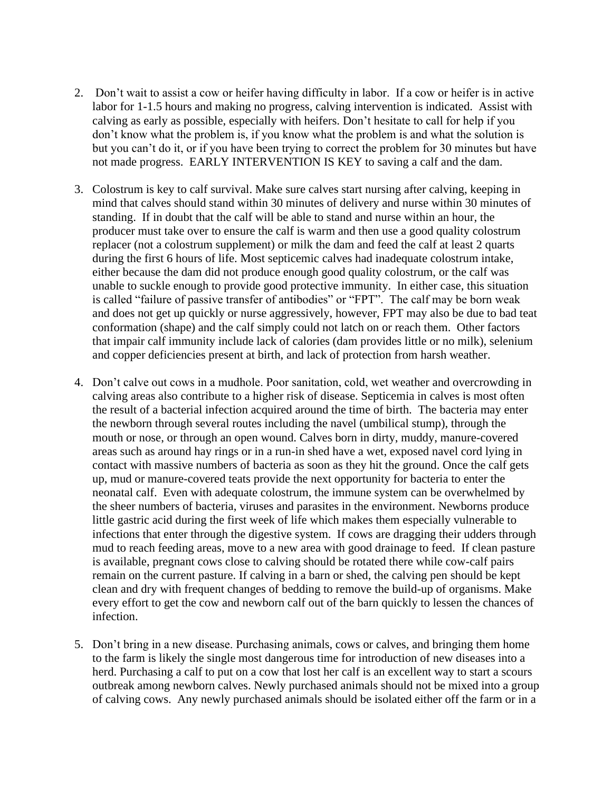- 2. Don't wait to assist a cow or heifer having difficulty in labor. If a cow or heifer is in active labor for 1-1.5 hours and making no progress, calving intervention is indicated. Assist with calving as early as possible, especially with heifers. Don't hesitate to call for help if you don't know what the problem is, if you know what the problem is and what the solution is but you can't do it, or if you have been trying to correct the problem for 30 minutes but have not made progress. EARLY INTERVENTION IS KEY to saving a calf and the dam.
- 3. Colostrum is key to calf survival. Make sure calves start nursing after calving, keeping in mind that calves should stand within 30 minutes of delivery and nurse within 30 minutes of standing. If in doubt that the calf will be able to stand and nurse within an hour, the producer must take over to ensure the calf is warm and then use a good quality colostrum replacer (not a colostrum supplement) or milk the dam and feed the calf at least 2 quarts during the first 6 hours of life. Most septicemic calves had inadequate colostrum intake, either because the dam did not produce enough good quality colostrum, or the calf was unable to suckle enough to provide good protective immunity. In either case, this situation is called "failure of passive transfer of antibodies" or "FPT". The calf may be born weak and does not get up quickly or nurse aggressively, however, FPT may also be due to bad teat conformation (shape) and the calf simply could not latch on or reach them. Other factors that impair calf immunity include lack of calories (dam provides little or no milk), selenium and copper deficiencies present at birth, and lack of protection from harsh weather.
- 4. Don't calve out cows in a mudhole. Poor sanitation, cold, wet weather and overcrowding in calving areas also contribute to a higher risk of disease. Septicemia in calves is most often the result of a bacterial infection acquired around the time of birth. The bacteria may enter the newborn through several routes including the navel (umbilical stump), through the mouth or nose, or through an open wound. Calves born in dirty, muddy, manure-covered areas such as around hay rings or in a run-in shed have a wet, exposed navel cord lying in contact with massive numbers of bacteria as soon as they hit the ground. Once the calf gets up, mud or manure-covered teats provide the next opportunity for bacteria to enter the neonatal calf. Even with adequate colostrum, the immune system can be overwhelmed by the sheer numbers of bacteria, viruses and parasites in the environment. Newborns produce little gastric acid during the first week of life which makes them especially vulnerable to infections that enter through the digestive system. If cows are dragging their udders through mud to reach feeding areas, move to a new area with good drainage to feed. If clean pasture is available, pregnant cows close to calving should be rotated there while cow-calf pairs remain on the current pasture. If calving in a barn or shed, the calving pen should be kept clean and dry with frequent changes of bedding to remove the build-up of organisms. Make every effort to get the cow and newborn calf out of the barn quickly to lessen the chances of infection.
- 5. Don't bring in a new disease. Purchasing animals, cows or calves, and bringing them home to the farm is likely the single most dangerous time for introduction of new diseases into a herd. Purchasing a calf to put on a cow that lost her calf is an excellent way to start a scours outbreak among newborn calves. Newly purchased animals should not be mixed into a group of calving cows. Any newly purchased animals should be isolated either off the farm or in a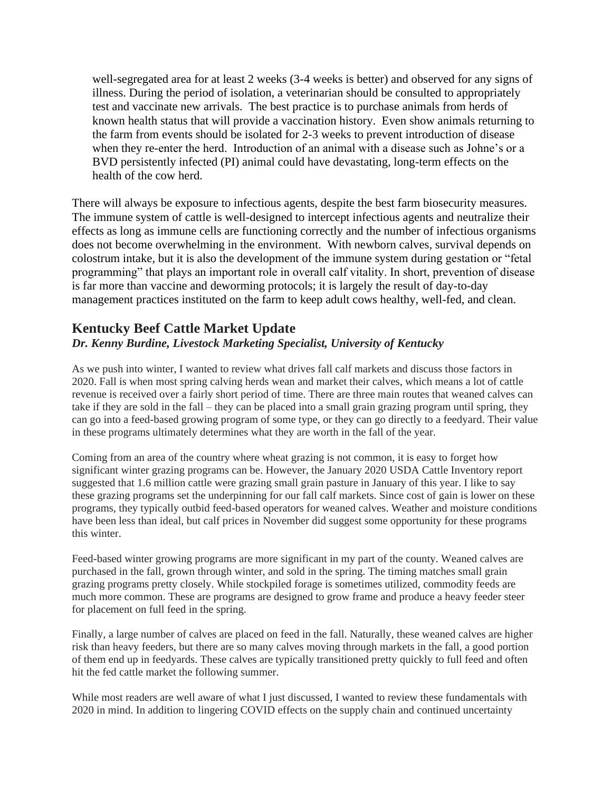well-segregated area for at least 2 weeks (3-4 weeks is better) and observed for any signs of illness. During the period of isolation, a veterinarian should be consulted to appropriately test and vaccinate new arrivals. The best practice is to purchase animals from herds of known health status that will provide a vaccination history. Even show animals returning to the farm from events should be isolated for 2-3 weeks to prevent introduction of disease when they re-enter the herd. Introduction of an animal with a disease such as Johne's or a BVD persistently infected (PI) animal could have devastating, long-term effects on the health of the cow herd.

There will always be exposure to infectious agents, despite the best farm biosecurity measures. The immune system of cattle is well-designed to intercept infectious agents and neutralize their effects as long as immune cells are functioning correctly and the number of infectious organisms does not become overwhelming in the environment. With newborn calves, survival depends on colostrum intake, but it is also the development of the immune system during gestation or "fetal programming" that plays an important role in overall calf vitality. In short, prevention of disease is far more than vaccine and deworming protocols; it is largely the result of day-to-day management practices instituted on the farm to keep adult cows healthy, well-fed, and clean.

#### **Kentucky Beef Cattle Market Update** *Dr. Kenny Burdine, Livestock Marketing Specialist, University of Kentucky*

As we push into winter, I wanted to review what drives fall calf markets and discuss those factors in 2020. Fall is when most spring calving herds wean and market their calves, which means a lot of cattle revenue is received over a fairly short period of time. There are three main routes that weaned calves can take if they are sold in the fall – they can be placed into a small grain grazing program until spring, they can go into a feed-based growing program of some type, or they can go directly to a feedyard. Their value in these programs ultimately determines what they are worth in the fall of the year.

Coming from an area of the country where wheat grazing is not common, it is easy to forget how significant winter grazing programs can be. However, the January 2020 USDA Cattle Inventory report suggested that 1.6 million cattle were grazing small grain pasture in January of this year. I like to say these grazing programs set the underpinning for our fall calf markets. Since cost of gain is lower on these programs, they typically outbid feed-based operators for weaned calves. Weather and moisture conditions have been less than ideal, but calf prices in November did suggest some opportunity for these programs this winter.

Feed-based winter growing programs are more significant in my part of the county. Weaned calves are purchased in the fall, grown through winter, and sold in the spring. The timing matches small grain grazing programs pretty closely. While stockpiled forage is sometimes utilized, commodity feeds are much more common. These are programs are designed to grow frame and produce a heavy feeder steer for placement on full feed in the spring.

Finally, a large number of calves are placed on feed in the fall. Naturally, these weaned calves are higher risk than heavy feeders, but there are so many calves moving through markets in the fall, a good portion of them end up in feedyards. These calves are typically transitioned pretty quickly to full feed and often hit the fed cattle market the following summer.

While most readers are well aware of what I just discussed, I wanted to review these fundamentals with 2020 in mind. In addition to lingering COVID effects on the supply chain and continued uncertainty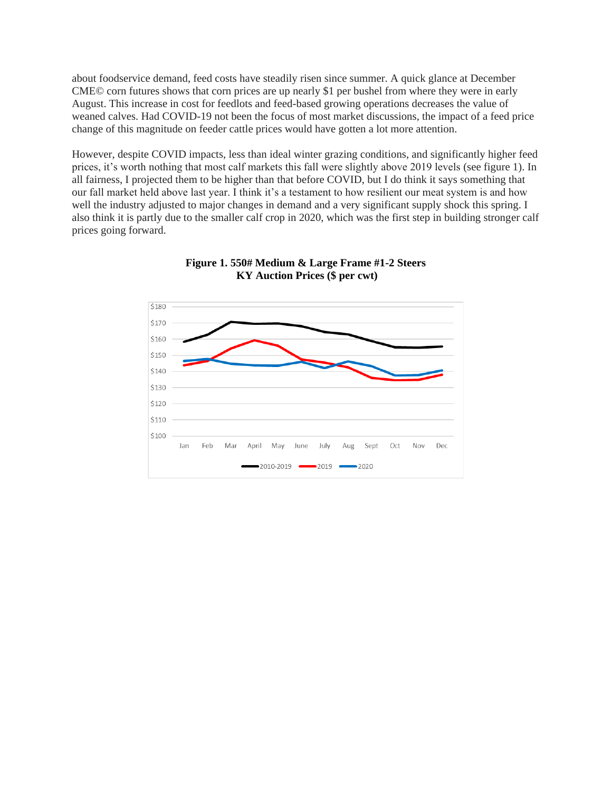about foodservice demand, feed costs have steadily risen since summer. A quick glance at December CME© corn futures shows that corn prices are up nearly \$1 per bushel from where they were in early August. This increase in cost for feedlots and feed-based growing operations decreases the value of weaned calves. Had COVID-19 not been the focus of most market discussions, the impact of a feed price change of this magnitude on feeder cattle prices would have gotten a lot more attention.

However, despite COVID impacts, less than ideal winter grazing conditions, and significantly higher feed prices, it's worth nothing that most calf markets this fall were slightly above 2019 levels (see figure 1). In all fairness, I projected them to be higher than that before COVID, but I do think it says something that our fall market held above last year. I think it's a testament to how resilient our meat system is and how well the industry adjusted to major changes in demand and a very significant supply shock this spring. I also think it is partly due to the smaller calf crop in 2020, which was the first step in building stronger calf prices going forward.



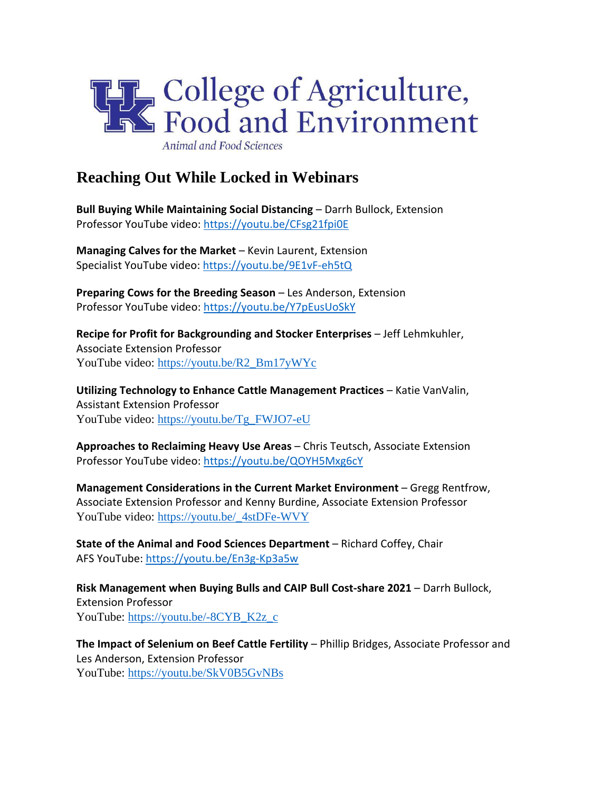

**Reaching Out While Locked in Webinars**

**Bull Buying While Maintaining Social Distancing** – Darrh Bullock, Extension Professor YouTube video:<https://youtu.be/CFsg21fpi0E>

**Managing Calves for the Market** – Kevin Laurent, Extension Specialist YouTube video:<https://youtu.be/9E1vF-eh5tQ>

**Preparing Cows for the Breeding Season – Les Anderson, Extension** Professor YouTube video:<https://youtu.be/Y7pEusUoSkY>

**Recipe for Profit for Backgrounding and Stocker Enterprises** – Jeff Lehmkuhler, Associate Extension Professor YouTube video: [https://youtu.be/R2\\_Bm17yWYc](https://youtu.be/R2_Bm17yWYc)

**Utilizing Technology to Enhance Cattle Management Practices - Katie VanValin,** Assistant Extension Professor YouTube video: [https://youtu.be/Tg\\_FWJO7-eU](https://youtu.be/Tg_FWJO7-eU)

**Approaches to Reclaiming Heavy Use Areas** – Chris Teutsch, Associate Extension Professor YouTube video:<https://youtu.be/QOYH5Mxg6cY>

**Management Considerations in the Current Market Environment** – Gregg Rentfrow, Associate Extension Professor and Kenny Burdine, Associate Extension Professor YouTube video: [https://youtu.be/\\_4stDFe-WVY](https://youtu.be/_4stDFe-WVY)

**State of the Animal and Food Sciences Department** – Richard Coffey, Chair AFS YouTube:<https://youtu.be/En3g-Kp3a5w>

Risk Management when Buying Bulls and CAIP Bull Cost-share 2021 - Darrh Bullock, Extension Professor YouTube: [https://youtu.be/-8CYB\\_K2z\\_c](https://youtu.be/-8CYB_K2z_c)

**The Impact of Selenium on Beef Cattle Fertility – Phillip Bridges, Associate Professor and** Les Anderson, Extension Professor YouTube:<https://youtu.be/SkV0B5GvNBs>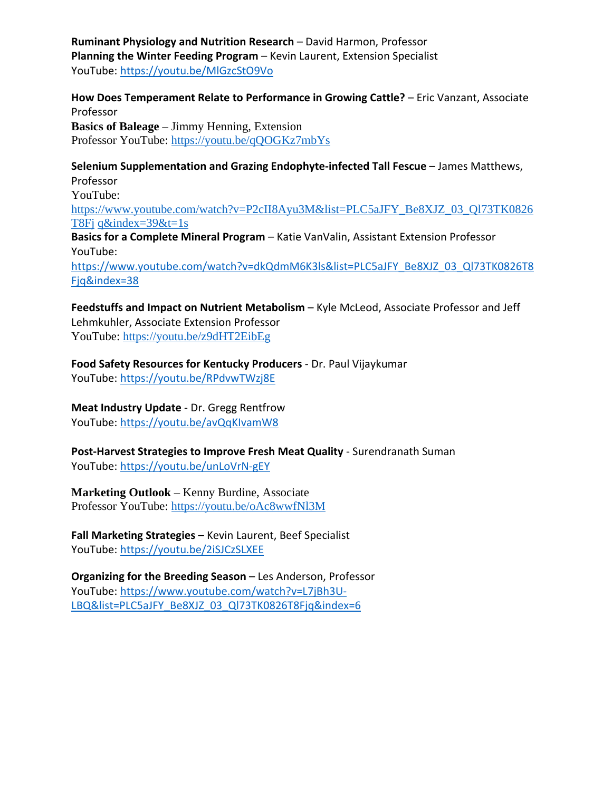**Ruminant Physiology and Nutrition Research** – David Harmon, Professor **Planning the Winter Feeding Program** – Kevin Laurent, Extension Specialist YouTube:<https://youtu.be/MlGzcStO9Vo>

**How Does Temperament Relate to Performance in Growing Cattle?** – Eric Vanzant, Associate Professor **Basics of Baleage** – Jimmy Henning, Extension Professor YouTube:<https://youtu.be/qQOGKz7mbYs>

**Selenium Supplementation and Grazing Endophyte-infected Tall Fescue** – James Matthews, Professor YouTube: [https://www.youtube.com/watch?v=P2cII8Ayu3M&list=PLC5aJFY\\_Be8XJZ\\_03\\_Ql73TK0826](https://www.youtube.com/watch?v=P2cII8Ayu3M&list=PLC5aJFY_Be8XJZ_03_Ql73TK0826T8Fjq&index=39&t=1s) [T8Fj](https://www.youtube.com/watch?v=P2cII8Ayu3M&list=PLC5aJFY_Be8XJZ_03_Ql73TK0826T8Fjq&index=39&t=1s) q&index= $39$ &t= $1s$ **Basics for a Complete Mineral Program** – Katie VanValin, Assistant Extension Professor YouTube:

[https://www.youtube.com/watch?v=dkQdmM6K3ls&list=PLC5aJFY\\_Be8XJZ\\_03\\_Ql73TK0826T8](https://www.youtube.com/watch?v=dkQdmM6K3ls&list=PLC5aJFY_Be8XJZ_03_Ql73TK0826T8Fjq&index=38) [Fjq&index=38](https://www.youtube.com/watch?v=dkQdmM6K3ls&list=PLC5aJFY_Be8XJZ_03_Ql73TK0826T8Fjq&index=38)

Feedstuffs and Impact on Nutrient Metabolism - Kyle McLeod, Associate Professor and Jeff Lehmkuhler, Associate Extension Professor YouTube: [https://youtu.be/z9dHT2EibEg](https://youtu.be/MlGzcStO9Vo)

**Food Safety Resources for Kentucky Producers** - Dr. Paul Vijaykumar YouTube:<https://youtu.be/RPdvwTWzj8E>

**Meat Industry Update** - Dr. Gregg Rentfrow

YouTube:<https://youtu.be/avQqKIvamW8>

**Post-Harvest Strategies to Improve Fresh Meat Quality** - Surendranath Suman YouTube:<https://youtu.be/unLoVrN-gEY>

**Marketing Outlook** – Kenny Burdine, Associate Professor YouTube:<https://youtu.be/oAc8wwfNl3M>

**Fall Marketing Strategies** – Kevin Laurent, Beef Specialist YouTube:<https://youtu.be/2iSJCzSLXEE>

**Organizing for the Breeding Season** – Les Anderson, Professor YouTube: [https://www.youtube.com/watch?v=L7jBh3U-](https://www.youtube.com/watch?v=L7jBh3U-LBQ&list=PLC5aJFY_Be8XJZ_03_Ql73TK0826T8Fjq&index=6)[LBQ&list=PLC5aJFY\\_Be8XJZ\\_03\\_Ql73TK0826T8Fjq&index=6](https://www.youtube.com/watch?v=L7jBh3U-LBQ&list=PLC5aJFY_Be8XJZ_03_Ql73TK0826T8Fjq&index=6)